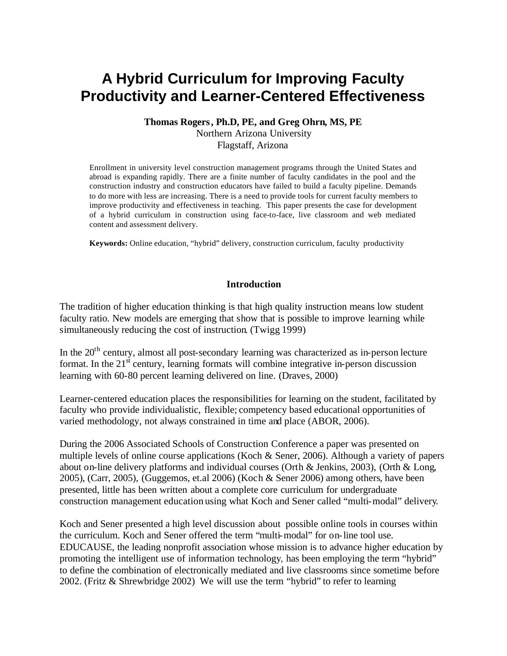# **A Hybrid Curriculum for Improving Faculty Productivity and Learner-Centered Effectiveness**

### **Thomas Rogers, Ph.D, PE, and Greg Ohrn, MS, PE** Northern Arizona University Flagstaff, Arizona

Enrollment in university level construction management programs through the United States and abroad is expanding rapidly. There are a finite number of faculty candidates in the pool and the construction industry and construction educators have failed to build a faculty pipeline. Demands to do more with less are increasing. There is a need to provide tools for current faculty members to improve productivity and effectiveness in teaching. This paper presents the case for development of a hybrid curriculum in construction using face-to-face, live classroom and web mediated content and assessment delivery.

**Keywords:** Online education, "hybrid" delivery, construction curriculum, faculty productivity

### **Introduction**

The tradition of higher education thinking is that high quality instruction means low student faculty ratio. New models are emerging that show that is possible to improve learning while simultaneously reducing the cost of instruction. (Twigg 1999)

In the  $20<sup>th</sup>$  century, almost all post-secondary learning was characterized as in-person lecture format. In the  $21<sup>st</sup>$  century, learning formats will combine integrative in-person discussion learning with 60-80 percent learning delivered on line. (Draves, 2000)

Learner-centered education places the responsibilities for learning on the student, facilitated by faculty who provide individualistic, flexible; competency based educational opportunities of varied methodology, not always constrained in time and place (ABOR, 2006).

During the 2006 Associated Schools of Construction Conference a paper was presented on multiple levels of online course applications (Koch & Sener, 2006). Although a variety of papers about on-line delivery platforms and individual courses (Orth & Jenkins, 2003), (Orth & Long, 2005), (Carr, 2005), (Guggemos, et.al 2006) (Koch & Sener 2006) among others, have been presented, little has been written about a complete core curriculum for undergraduate construction management education using what Koch and Sener called "multi-modal" delivery.

Koch and Sener presented a high level discussion about possible online tools in courses within the curriculum. Koch and Sener offered the term "multi-modal" for on-line tool use. EDUCAUSE, the leading nonprofit association whose mission is to advance higher education by promoting the intelligent use of information technology, has been employing the term "hybrid" to define the combination of electronically mediated and live classrooms since sometime before 2002. (Fritz & Shrewbridge 2002) We will use the term "hybrid" to refer to learning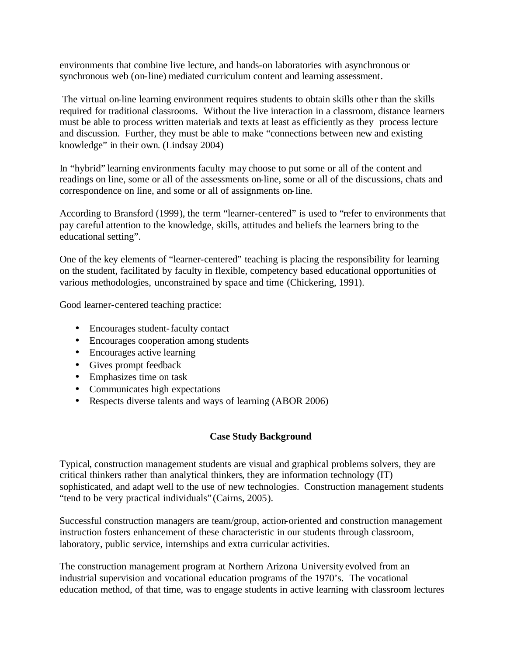environments that combine live lecture, and hands-on laboratories with asynchronous or synchronous web (on-line) mediated curriculum content and learning assessment.

The virtual on-line learning environment requires students to obtain skills other than the skills required for traditional classrooms. Without the live interaction in a classroom, distance learners must be able to process written materials and texts at least as efficiently as they process lecture and discussion. Further, they must be able to make "connections between new and existing knowledge" in their own. (Lindsay 2004)

In "hybrid" learning environments faculty may choose to put some or all of the content and readings on line, some or all of the assessments on-line, some or all of the discussions, chats and correspondence on line, and some or all of assignments on-line.

According to Bransford (1999), the term "learner-centered" is used to "refer to environments that pay careful attention to the knowledge, skills, attitudes and beliefs the learners bring to the educational setting".

One of the key elements of "learner-centered" teaching is placing the responsibility for learning on the student, facilitated by faculty in flexible, competency based educational opportunities of various methodologies, unconstrained by space and time (Chickering, 1991).

Good learner-centered teaching practice:

- Encourages student-faculty contact
- Encourages cooperation among students
- Encourages active learning
- Gives prompt feedback
- Emphasizes time on task
- Communicates high expectations
- Respects diverse talents and ways of learning (ABOR 2006)

## **Case Study Background**

Typical, construction management students are visual and graphical problems solvers, they are critical thinkers rather than analytical thinkers, they are information technology (IT) sophisticated, and adapt well to the use of new technologies. Construction management students "tend to be very practical individuals" (Cairns, 2005).

Successful construction managers are team/group, action-oriented and construction management instruction fosters enhancement of these characteristic in our students through classroom, laboratory, public service, internships and extra curricular activities.

The construction management program at Northern Arizona University evolved from an industrial supervision and vocational education programs of the 1970's. The vocational education method, of that time, was to engage students in active learning with classroom lectures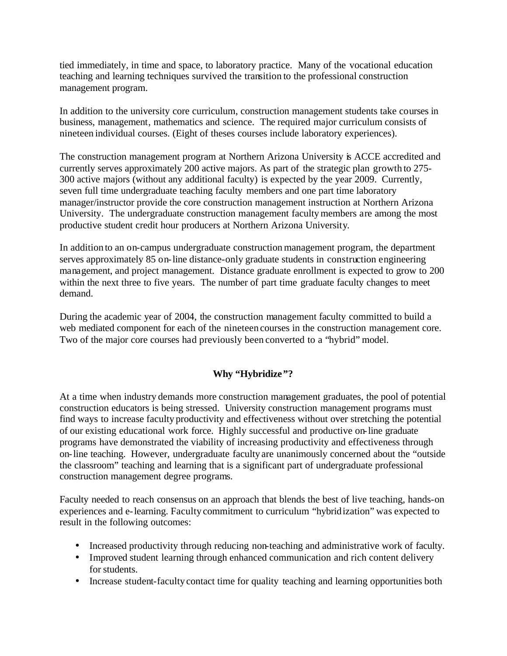tied immediately, in time and space, to laboratory practice. Many of the vocational education teaching and learning techniques survived the transition to the professional construction management program.

In addition to the university core curriculum, construction management students take courses in business, management, mathematics and science. The required major curriculum consists of nineteen individual courses. (Eight of theses courses include laboratory experiences).

The construction management program at Northern Arizona University is ACCE accredited and currently serves approximately 200 active majors. As part of the strategic plan growth to 275- 300 active majors (without any additional faculty) is expected by the year 2009. Currently, seven full time undergraduate teaching faculty members and one part time laboratory manager/instructor provide the core construction management instruction at Northern Arizona University. The undergraduate construction management faculty members are among the most productive student credit hour producers at Northern Arizona University.

In addition to an on-campus undergraduate construction management program, the department serves approximately 85 on-line distance-only graduate students in construction engineering management, and project management. Distance graduate enrollment is expected to grow to 200 within the next three to five years. The number of part time graduate faculty changes to meet demand.

During the academic year of 2004, the construction management faculty committed to build a web mediated component for each of the nineteen courses in the construction management core. Two of the major core courses had previously been converted to a "hybrid" model.

# **Why "Hybridize"?**

At a time when industry demands more construction management graduates, the pool of potential construction educators is being stressed. University construction management programs must find ways to increase faculty productivity and effectiveness without over stretching the potential of our existing educational work force. Highly successful and productive on-line graduate programs have demonstrated the viability of increasing productivity and effectiveness through on-line teaching. However, undergraduate faculty are unanimously concerned about the "outside the classroom" teaching and learning that is a significant part of undergraduate professional construction management degree programs.

Faculty needed to reach consensus on an approach that blends the best of live teaching, hands-on experiences and e-learning. Faculty commitment to curriculum "hybridization" was expected to result in the following outcomes:

- Increased productivity through reducing non-teaching and administrative work of faculty.
- Improved student learning through enhanced communication and rich content delivery for students.
- Increase student-faculty contact time for quality teaching and learning opportunities both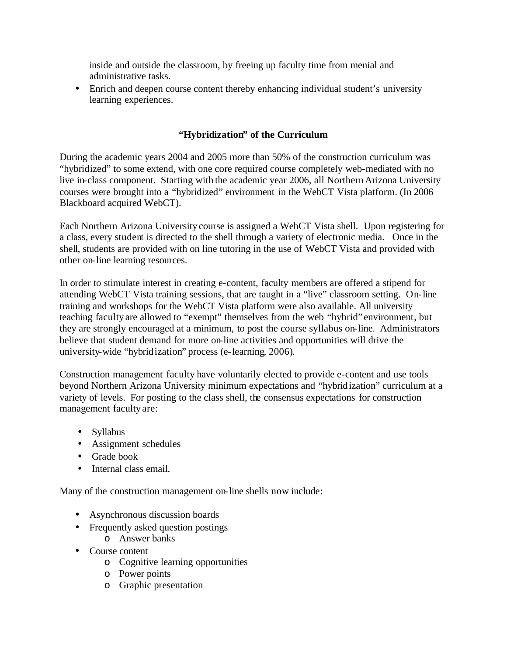inside and outside the classroom, by freeing up faculty time from menial and administrative tasks.

• Enrich and deepen course content thereby enhancing individual student's university learning experiences.

# **"Hybridization" of the Curriculum**

During the academic years 2004 and 2005 more than 50% of the construction curriculum was "hybridized" to some extend, with one core required course completely web-mediated with no live in-class component. Starting with the academic year 2006, all Northern Arizona University courses were brought into a "hybridized" environment in the WebCT Vista platform. (In 2006 Blackboard acquired WebCT).

Each Northern Arizona University course is assigned a WebCT Vista shell. Upon registering for a class, every student is directed to the shell through a variety of electronic media. Once in the shell, students are provided with on line tutoring in the use of WebCT Vista and provided with other on-line learning resources.

In order to stimulate interest in creating e-content, faculty members are offered a stipend for attending WebCT Vista training sessions, that are taught in a "live" classroom setting. On-line training and workshops for the WebCT Vista platform were also available. All university teaching faculty are allowed to "exempt" themselves from the web "hybrid" environment, but they are strongly encouraged at a minimum, to post the course syllabus on-line. Administrators believe that student demand for more on-line activities and opportunities will drive the university-wide "hybridization" process (e-learning, 2006).

Construction management faculty have voluntarily elected to provide e-content and use tools beyond Northern Arizona University minimum expectations and "hybridization" curriculum at a variety of levels. For posting to the class shell, the consensus expectations for construction management faculty are:

- Syllabus
- Assignment schedules
- Grade book
- Internal class email.

Many of the construction management on-line shells now include:

- Asynchronous discussion boards
- Frequently asked question postings
	- o Answer banks
- Course content
	- o Cognitive learning opportunities
	- o Power points
	- o Graphic presentation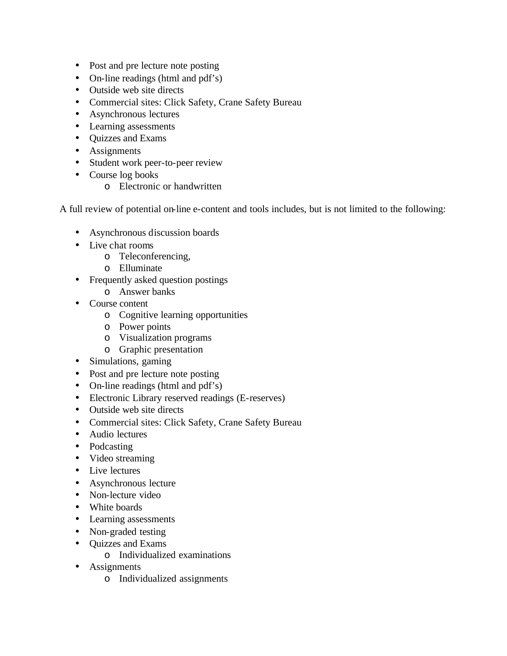- Post and pre lecture note posting
- On-line readings (html and pdf's)
- Outside web site directs
- Commercial sites: Click Safety, Crane Safety Bureau
- Asynchronous lectures
- Learning assessments
- Quizzes and Exams
- Assignments
- Student work peer-to-peer review
- Course log books
	- o Electronic or handwritten

A full review of potential on-line e-content and tools includes, but is not limited to the following:

- Asynchronous discussion boards
- Live chat rooms
	- o Teleconferencing,
	- o Elluminate
- Frequently asked question postings
	- o Answer banks
- Course content
	- o Cognitive learning opportunities
	- o Power points
	- o Visualization programs
	- o Graphic presentation
- Simulations, gaming
- Post and pre lecture note posting
- On-line readings (html and pdf's)
- Electronic Library reserved readings (E-reserves)
- Outside web site directs
- Commercial sites: Click Safety, Crane Safety Bureau
- Audio lectures
- Podcasting
- Video streaming
- Live lectures
- Asynchronous lecture
- Non-lecture video
- White boards
- Learning assessments
- Non-graded testing
- Quizzes and Exams
	- o Individualized examinations
- Assignments
	- o Individualized assignments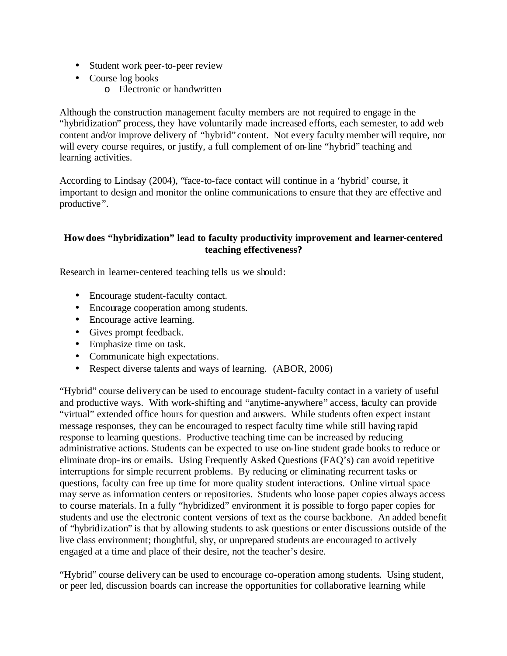- Student work peer-to-peer review
- Course log books
	- o Electronic or handwritten

Although the construction management faculty members are not required to engage in the "hybridization" process, they have voluntarily made increased efforts, each semester, to add web content and/or improve delivery of "hybrid" content. Not every faculty member will require, nor will every course requires, or justify, a full complement of on-line "hybrid" teaching and learning activities.

According to Lindsay (2004), "face-to-face contact will continue in a 'hybrid' course, it important to design and monitor the online communications to ensure that they are effective and productive".

## **How does "hybridization" lead to faculty productivity improvement and learner-centered teaching effectiveness?**

Research in learner-centered teaching tells us we should:

- Encourage student-faculty contact.
- Encourage cooperation among students.
- Encourage active learning.
- Gives prompt feedback.
- Emphasize time on task.
- Communicate high expectations.
- Respect diverse talents and ways of learning. (ABOR, 2006)

"Hybrid" course delivery can be used to encourage student-faculty contact in a variety of useful and productive ways. With work-shifting and "anytime-anywhere" access, faculty can provide "virtual" extended office hours for question and answers. While students often expect instant message responses, they can be encouraged to respect faculty time while still having rapid response to learning questions. Productive teaching time can be increased by reducing administrative actions. Students can be expected to use on-line student grade books to reduce or eliminate drop-ins or emails. Using Frequently Asked Questions (FAQ's) can avoid repetitive interruptions for simple recurrent problems. By reducing or eliminating recurrent tasks or questions, faculty can free up time for more quality student interactions. Online virtual space may serve as information centers or repositories. Students who loose paper copies always access to course materials. In a fully "hybridized" environment it is possible to forgo paper copies for students and use the electronic content versions of text as the course backbone. An added benefit of "hybridization" is that by allowing students to ask questions or enter discussions outside of the live class environment; thoughtful, shy, or unprepared students are encouraged to actively engaged at a time and place of their desire, not the teacher's desire.

"Hybrid" course delivery can be used to encourage co-operation among students. Using student, or peer led, discussion boards can increase the opportunities for collaborative learning while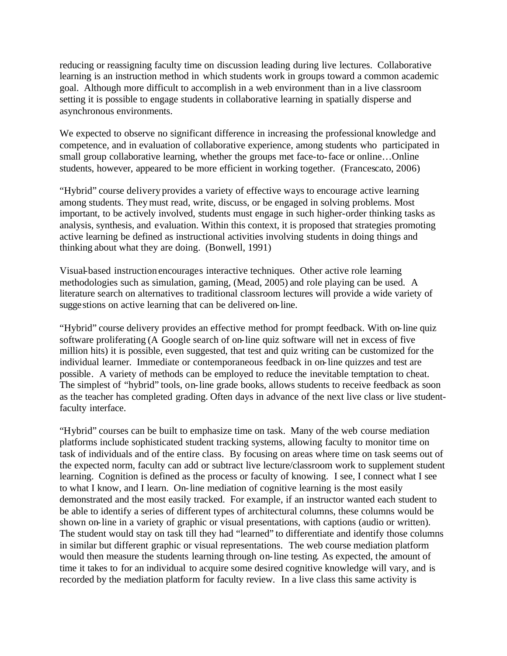reducing or reassigning faculty time on discussion leading during live lectures. Collaborative learning is an instruction method in which students work in groups toward a common academic goal. Although more difficult to accomplish in a web environment than in a live classroom setting it is possible to engage students in collaborative learning in spatially disperse and asynchronous environments.

We expected to observe no significant difference in increasing the professional knowledge and competence, and in evaluation of collaborative experience, among students who participated in small group collaborative learning, whether the groups met face-to-face or online…Online students, however, appeared to be more efficient in working together. (Francescato, 2006)

"Hybrid" course delivery provides a variety of effective ways to encourage active learning among students. They must read, write, discuss, or be engaged in solving problems. Most important, to be actively involved, students must engage in such higher-order thinking tasks as analysis, synthesis, and evaluation. Within this context, it is proposed that strategies promoting active learning be defined as instructional activities involving students in doing things and thinking about what they are doing. (Bonwell, 1991)

Visual-based instruction encourages interactive techniques. Other active role learning methodologies such as simulation, gaming, (Mead, 2005) and role playing can be used. A literature search on alternatives to traditional classroom lectures will provide a wide variety of suggestions on active learning that can be delivered on-line.

"Hybrid" course delivery provides an effective method for prompt feedback. With on-line quiz software proliferating (A Google search of on-line quiz software will net in excess of five million hits) it is possible, even suggested, that test and quiz writing can be customized for the individual learner. Immediate or contemporaneous feedback in on-line quizzes and test are possible. A variety of methods can be employed to reduce the inevitable temptation to cheat. The simplest of "hybrid" tools, on-line grade books, allows students to receive feedback as soon as the teacher has completed grading. Often days in advance of the next live class or live studentfaculty interface.

"Hybrid" courses can be built to emphasize time on task. Many of the web course mediation platforms include sophisticated student tracking systems, allowing faculty to monitor time on task of individuals and of the entire class. By focusing on areas where time on task seems out of the expected norm, faculty can add or subtract live lecture/classroom work to supplement student learning. Cognition is defined as the process or faculty of knowing. I see, I connect what I see to what I know, and I learn. On-line mediation of cognitive learning is the most easily demonstrated and the most easily tracked. For example, if an instructor wanted each student to be able to identify a series of different types of architectural columns, these columns would be shown on-line in a variety of graphic or visual presentations, with captions (audio or written). The student would stay on task till they had "learned" to differentiate and identify those columns in similar but different graphic or visual representations. The web course mediation platform would then measure the students learning through on-line testing. As expected, the amount of time it takes to for an individual to acquire some desired cognitive knowledge will vary, and is recorded by the mediation platform for faculty review. In a live class this same activity is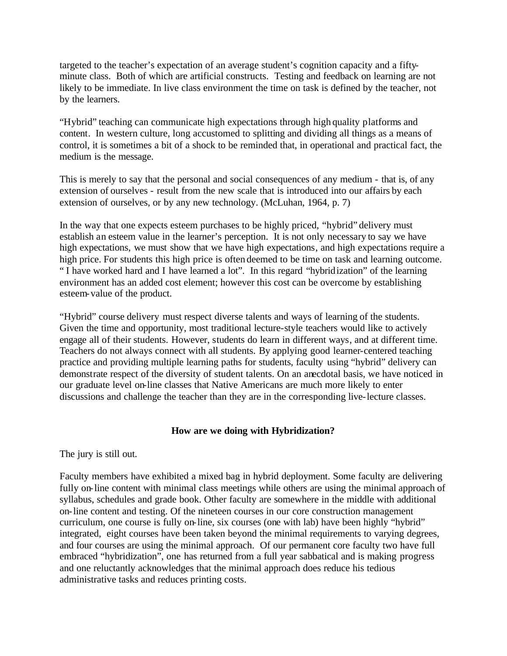targeted to the teacher's expectation of an average student's cognition capacity and a fiftyminute class. Both of which are artificial constructs. Testing and feedback on learning are not likely to be immediate. In live class environment the time on task is defined by the teacher, not by the learners.

"Hybrid" teaching can communicate high expectations through high quality platforms and content. In western culture, long accustomed to splitting and dividing all things as a means of control, it is sometimes a bit of a shock to be reminded that, in operational and practical fact, the medium is the message.

This is merely to say that the personal and social consequences of any medium - that is, of any extension of ourselves - result from the new scale that is introduced into our affairs by each extension of ourselves, or by any new technology. (McLuhan, 1964, p. 7)

In the way that one expects esteem purchases to be highly priced, "hybrid" delivery must establish an esteem value in the learner's perception. It is not only necessary to say we have high expectations, we must show that we have high expectations, and high expectations require a high price. For students this high price is often deemed to be time on task and learning outcome. " I have worked hard and I have learned a lot". In this regard "hybridization" of the learning environment has an added cost element; however this cost can be overcome by establishing esteem-value of the product.

"Hybrid" course delivery must respect diverse talents and ways of learning of the students. Given the time and opportunity, most traditional lecture-style teachers would like to actively engage all of their students. However, students do learn in different ways, and at different time. Teachers do not always connect with all students. By applying good learner-centered teaching practice and providing multiple learning paths for students, faculty using "hybrid" delivery can demonstrate respect of the diversity of student talents. On an anecdotal basis, we have noticed in our graduate level on-line classes that Native Americans are much more likely to enter discussions and challenge the teacher than they are in the corresponding live-lecture classes.

## **How are we doing with Hybridization?**

The jury is still out.

Faculty members have exhibited a mixed bag in hybrid deployment. Some faculty are delivering fully on-line content with minimal class meetings while others are using the minimal approach of syllabus, schedules and grade book. Other faculty are somewhere in the middle with additional on-line content and testing. Of the nineteen courses in our core construction management curriculum, one course is fully on-line, six courses (one with lab) have been highly "hybrid" integrated, eight courses have been taken beyond the minimal requirements to varying degrees, and four courses are using the minimal approach. Of our permanent core faculty two have full embraced "hybridization", one has returned from a full year sabbatical and is making progress and one reluctantly acknowledges that the minimal approach does reduce his tedious administrative tasks and reduces printing costs.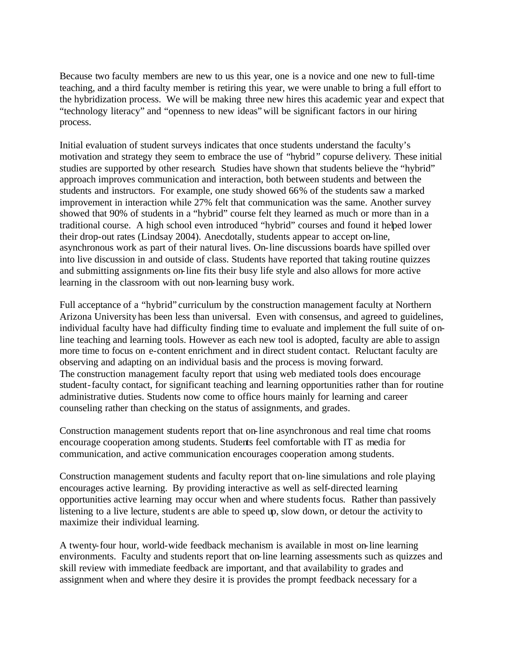Because two faculty members are new to us this year, one is a novice and one new to full-time teaching, and a third faculty member is retiring this year, we were unable to bring a full effort to the hybridization process. We will be making three new hires this academic year and expect that "technology literacy" and "openness to new ideas" will be significant factors in our hiring process.

Initial evaluation of student surveys indicates that once students understand the faculty's motivation and strategy they seem to embrace the use of "hybrid" copurse delivery. These initial studies are supported by other research. Studies have shown that students believe the "hybrid" approach improves communication and interaction, both between students and between the students and instructors. For example, one study showed 66% of the students saw a marked improvement in interaction while 27% felt that communication was the same. Another survey showed that 90% of students in a "hybrid" course felt they learned as much or more than in a traditional course. A high school even introduced "hybrid" courses and found it helped lower their drop-out rates (Lindsay 2004). Anecdotally, students appear to accept on-line, asynchronous work as part of their natural lives. On-line discussions boards have spilled over into live discussion in and outside of class. Students have reported that taking routine quizzes and submitting assignments on-line fits their busy life style and also allows for more active learning in the classroom with out non-learning busy work.

Full acceptance of a "hybrid" curriculum by the construction management faculty at Northern Arizona University has been less than universal. Even with consensus, and agreed to guidelines, individual faculty have had difficulty finding time to evaluate and implement the full suite of online teaching and learning tools. However as each new tool is adopted, faculty are able to assign more time to focus on e-content enrichment and in direct student contact. Reluctant faculty are observing and adapting on an individual basis and the process is moving forward. The construction management faculty report that using web mediated tools does encourage student-faculty contact, for significant teaching and learning opportunities rather than for routine administrative duties. Students now come to office hours mainly for learning and career counseling rather than checking on the status of assignments, and grades.

Construction management students report that on-line asynchronous and real time chat rooms encourage cooperation among students. Students feel comfortable with IT as media for communication, and active communication encourages cooperation among students.

Construction management students and faculty report that on-line simulations and role playing encourages active learning. By providing interactive as well as self-directed learning opportunities active learning may occur when and where students focus. Rather than passively listening to a live lecture, students are able to speed up, slow down, or detour the activity to maximize their individual learning.

A twenty-four hour, world-wide feedback mechanism is available in most on-line learning environments. Faculty and students report that on-line learning assessments such as quizzes and skill review with immediate feedback are important, and that availability to grades and assignment when and where they desire it is provides the prompt feedback necessary for a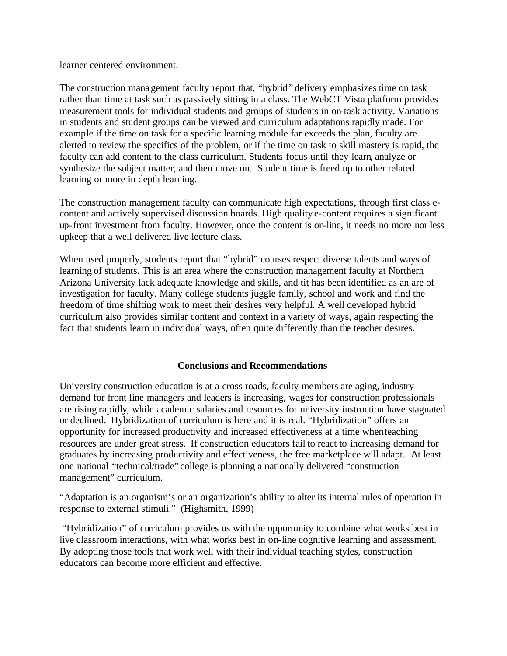learner centered environment.

The construction management faculty report that, "hybrid" delivery emphasizes time on task rather than time at task such as passively sitting in a class. The WebCT Vista platform provides measurement tools for individual students and groups of students in on-task activity. Variations in students and student groups can be viewed and curriculum adaptations rapidly made. For example if the time on task for a specific learning module far exceeds the plan, faculty are alerted to review the specifics of the problem, or if the time on task to skill mastery is rapid, the faculty can add content to the class curriculum. Students focus until they learn, analyze or synthesize the subject matter, and then move on. Student time is freed up to other related learning or more in depth learning.

The construction management faculty can communicate high expectations, through first class econtent and actively supervised discussion boards. High quality e-content requires a significant up-front investment from faculty. However, once the content is on-line, it needs no more nor less upkeep that a well delivered live lecture class.

When used properly, students report that "hybrid" courses respect diverse talents and ways of learning of students. This is an area where the construction management faculty at Northern Arizona University lack adequate knowledge and skills, and tit has been identified as an are of investigation for faculty. Many college students juggle family, school and work and find the freedom of time shifting work to meet their desires very helpful. A well developed hybrid curriculum also provides similar content and context in a variety of ways, again respecting the fact that students learn in individual ways, often quite differently than the teacher desires.

## **Conclusions and Recommendations**

University construction education is at a cross roads, faculty members are aging, industry demand for front line managers and leaders is increasing, wages for construction professionals are rising rapidly, while academic salaries and resources for university instruction have stagnated or declined. Hybridization of curriculum is here and it is real. "Hybridization" offers an opportunity for increased productivity and increased effectiveness at a time when teaching resources are under great stress. If construction educators fail to react to increasing demand for graduates by increasing productivity and effectiveness, the free marketplace will adapt. At least one national "technical/trade" college is planning a nationally delivered "construction management" curriculum.

"Adaptation is an organism's or an organization's ability to alter its internal rules of operation in response to external stimuli." (Highsmith, 1999)

"Hybridization" of curriculum provides us with the opportunity to combine what works best in live classroom interactions, with what works best in on-line cognitive learning and assessment. By adopting those tools that work well with their individual teaching styles, construction educators can become more efficient and effective.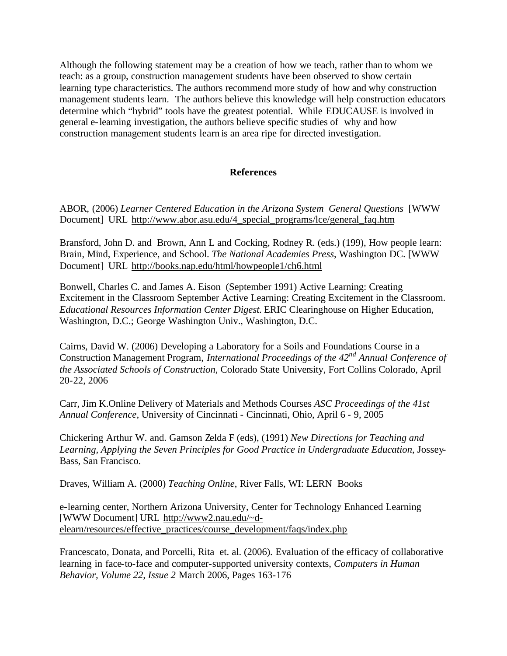Although the following statement may be a creation of how we teach, rather than to whom we teach: as a group, construction management students have been observed to show certain learning type characteristics. The authors recommend more study of how and why construction management students learn. The authors believe this knowledge will help construction educators determine which "hybrid" tools have the greatest potential. While EDUCAUSE is involved in general e-learning investigation, the authors believe specific studies of why and how construction management students learn is an area ripe for directed investigation.

### **References**

ABOR, (2006) *Learner Centered Education in the Arizona System General Questions* [WWW Document] URL http://www.abor.asu.edu/4\_special\_programs/lce/general\_faq.htm

Bransford, John D. and Brown, Ann L and Cocking, Rodney R. (eds.) (199), How people learn: Brain, Mind, Experience, and School. *The National Academies Press*, Washington DC. [WWW Document] URL http://books.nap.edu/html/howpeople1/ch6.html

Bonwell, Charles C. and James A. Eison (September 1991) Active Learning: Creating Excitement in the Classroom September Active Learning: Creating Excitement in the Classroom. *Educational Resources Information Center Digest.* ERIC Clearinghouse on Higher Education, Washington, D.C.; George Washington Univ., Washington, D.C.

Cairns, David W. (2006) Developing a Laboratory for a Soils and Foundations Course in a Construction Management Program, *International Proceedings of the 42nd Annual Conference of the Associated Schools of Construction,* Colorado State University, Fort Collins Colorado, April 20-22, 2006

Carr, Jim K.Online Delivery of Materials and Methods Courses *ASC Proceedings of the 41st Annual Conference,* University of Cincinnati - Cincinnati, Ohio, April 6 - 9, 2005

Chickering Arthur W. and. Gamson Zelda F (eds), (1991) *New Directions for Teaching and Learning, Applying the Seven Principles for Good Practice in Undergraduate Education*, Jossey-Bass, San Francisco.

Draves, William A. (2000) *Teaching Online*, River Falls, WI: LERN Books

e-learning center, Northern Arizona University, Center for Technology Enhanced Learning [WWW Document] URL http://www2.nau.edu/~delearn/resources/effective\_practices/course\_development/faqs/index.php

Francescato, Donata, and Porcelli, Rita et. al. (2006). Evaluation of the efficacy of collaborative learning in face-to-face and computer-supported university contexts, *Computers in Human Behavior, Volume 22, Issue 2* March 2006, Pages 163-176